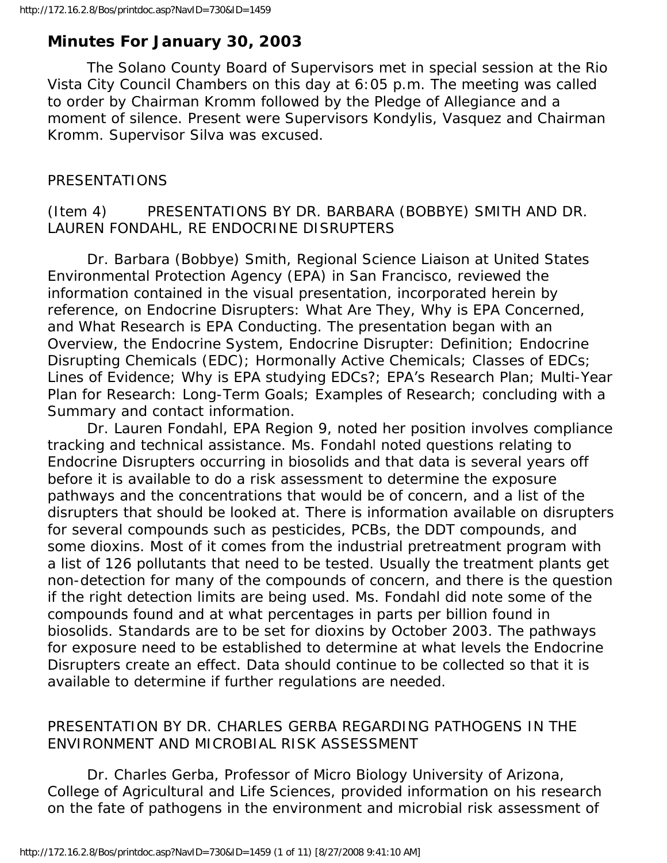# **Minutes For January 30, 2003**

 The Solano County Board of Supervisors met in special session at the Rio Vista City Council Chambers on this day at 6:05 p.m. The meeting was called to order by Chairman Kromm followed by the Pledge of Allegiance and a moment of silence. Present were Supervisors Kondylis, Vasquez and Chairman Kromm. Supervisor Silva was excused.

### PRESENTATIONS

#### (Item 4) PRESENTATIONS BY DR. BARBARA (BOBBYE) SMITH AND DR. LAUREN FONDAHL, RE ENDOCRINE DISRUPTERS

 Dr. Barbara (Bobbye) Smith, Regional Science Liaison at United States Environmental Protection Agency (EPA) in San Francisco, reviewed the information contained in the visual presentation, incorporated herein by reference, on Endocrine Disrupters: What Are They, Why is EPA Concerned, and What Research is EPA Conducting. The presentation began with an Overview, the Endocrine System, Endocrine Disrupter: Definition; Endocrine Disrupting Chemicals (EDC); Hormonally Active Chemicals; Classes of EDCs; Lines of Evidence; Why is EPA studying EDCs?; EPA's Research Plan; Multi-Year Plan for Research: Long-Term Goals; Examples of Research; concluding with a Summary and contact information.

 Dr. Lauren Fondahl, EPA Region 9, noted her position involves compliance tracking and technical assistance. Ms. Fondahl noted questions relating to Endocrine Disrupters occurring in biosolids and that data is several years off before it is available to do a risk assessment to determine the exposure pathways and the concentrations that would be of concern, and a list of the disrupters that should be looked at. There is information available on disrupters for several compounds such as pesticides, PCBs, the DDT compounds, and some dioxins. Most of it comes from the industrial pretreatment program with a list of 126 pollutants that need to be tested. Usually the treatment plants get non-detection for many of the compounds of concern, and there is the question if the right detection limits are being used. Ms. Fondahl did note some of the compounds found and at what percentages in parts per billion found in biosolids. Standards are to be set for dioxins by October 2003. The pathways for exposure need to be established to determine at what levels the Endocrine Disrupters create an effect. Data should continue to be collected so that it is available to determine if further regulations are needed.

# PRESENTATION BY DR. CHARLES GERBA REGARDING PATHOGENS IN THE ENVIRONMENT AND MICROBIAL RISK ASSESSMENT

 Dr. Charles Gerba, Professor of Micro Biology University of Arizona, College of Agricultural and Life Sciences, provided information on his research on the fate of pathogens in the environment and microbial risk assessment of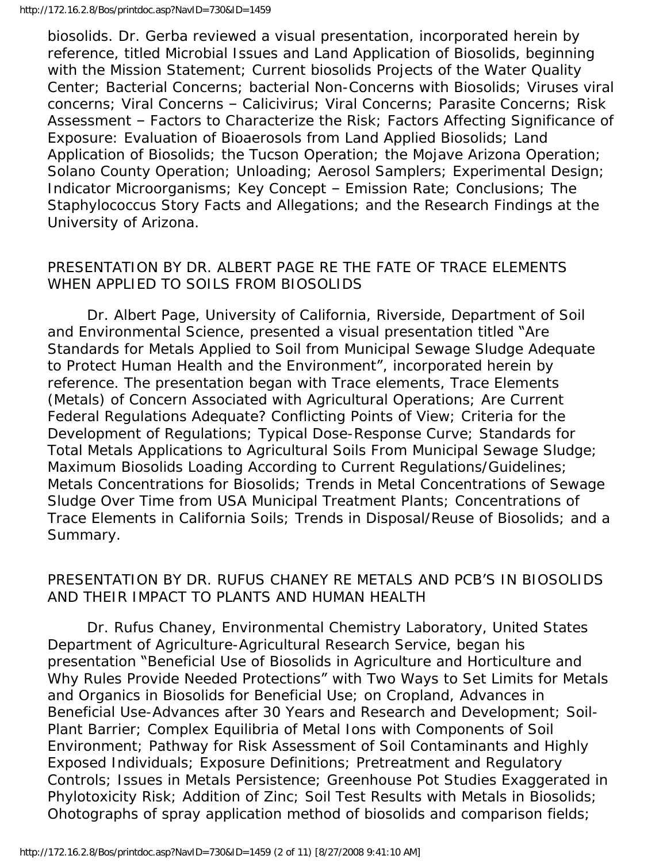biosolids. Dr. Gerba reviewed a visual presentation, incorporated herein by reference, titled Microbial Issues and Land Application of Biosolids, beginning with the Mission Statement; Current biosolids Projects of the Water Quality Center; Bacterial Concerns; bacterial Non-Concerns with Biosolids; Viruses viral concerns; Viral Concerns – Calicivirus; Viral Concerns; Parasite Concerns; Risk Assessment – Factors to Characterize the Risk; Factors Affecting Significance of Exposure: Evaluation of Bioaerosols from Land Applied Biosolids; Land Application of Biosolids; the Tucson Operation; the Mojave Arizona Operation; Solano County Operation; Unloading; Aerosol Samplers; Experimental Design; Indicator Microorganisms; Key Concept – Emission Rate; Conclusions; The Staphylococcus Story Facts and Allegations; and the Research Findings at the University of Arizona.

#### PRESENTATION BY DR. ALBERT PAGE RE THE FATE OF TRACE ELEMENTS WHEN APPLIED TO SOILS FROM BIOSOLIDS

 Dr. Albert Page, University of California, Riverside, Department of Soil and Environmental Science, presented a visual presentation titled "Are Standards for Metals Applied to Soil from Municipal Sewage Sludge Adequate to Protect Human Health and the Environment", incorporated herein by reference. The presentation began with Trace elements, Trace Elements (Metals) of Concern Associated with Agricultural Operations; Are Current Federal Regulations Adequate? Conflicting Points of View; Criteria for the Development of Regulations; Typical Dose-Response Curve; Standards for Total Metals Applications to Agricultural Soils From Municipal Sewage Sludge; Maximum Biosolids Loading According to Current Regulations/Guidelines; Metals Concentrations for Biosolids; Trends in Metal Concentrations of Sewage Sludge Over Time from USA Municipal Treatment Plants; Concentrations of Trace Elements in California Soils; Trends in Disposal/Reuse of Biosolids; and a Summary.

#### PRESENTATION BY DR. RUFUS CHANEY RE METALS AND PCB'S IN BIOSOLIDS AND THEIR IMPACT TO PLANTS AND HUMAN HEALTH

 Dr. Rufus Chaney, Environmental Chemistry Laboratory, United States Department of Agriculture-Agricultural Research Service, began his presentation "Beneficial Use of Biosolids in Agriculture and Horticulture and Why Rules Provide Needed Protections" with Two Ways to Set Limits for Metals and Organics in Biosolids for Beneficial Use; on Cropland, Advances in Beneficial Use-Advances after 30 Years and Research and Development; Soil-Plant Barrier; Complex Equilibria of Metal Ions with Components of Soil Environment; Pathway for Risk Assessment of Soil Contaminants and Highly Exposed Individuals; Exposure Definitions; Pretreatment and Regulatory Controls; Issues in Metals Persistence; Greenhouse Pot Studies Exaggerated in Phylotoxicity Risk; Addition of Zinc; Soil Test Results with Metals in Biosolids; Ohotographs of spray application method of biosolids and comparison fields;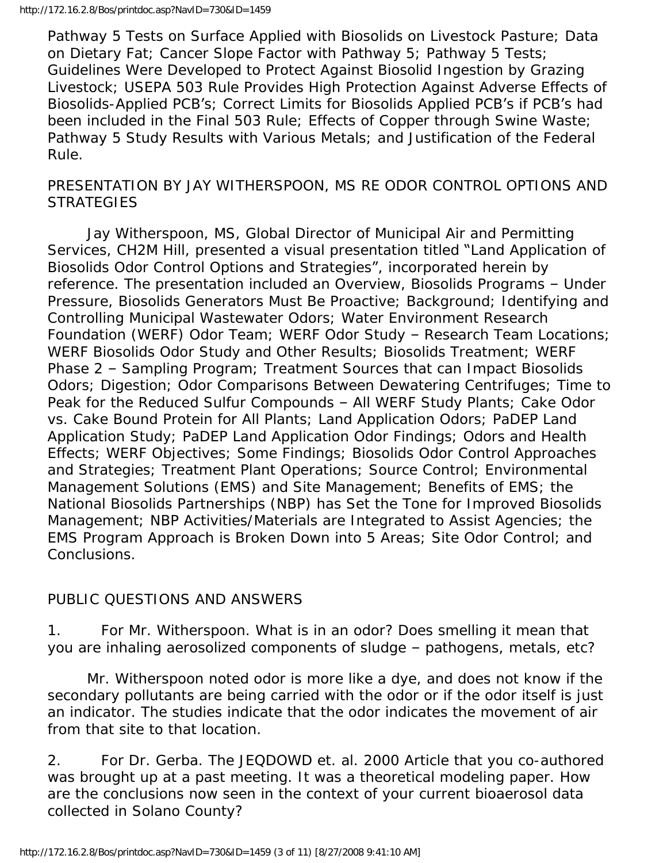Pathway 5 Tests on Surface Applied with Biosolids on Livestock Pasture; Data on Dietary Fat; Cancer Slope Factor with Pathway 5; Pathway 5 Tests; Guidelines Were Developed to Protect Against Biosolid Ingestion by Grazing Livestock; USEPA 503 Rule Provides High Protection Against Adverse Effects of Biosolids-Applied PCB's; Correct Limits for Biosolids Applied PCB's if PCB's had been included in the Final 503 Rule; Effects of Copper through Swine Waste; Pathway 5 Study Results with Various Metals; and Justification of the Federal Rule.

#### PRESENTATION BY JAY WITHERSPOON, MS RE ODOR CONTROL OPTIONS AND **STRATEGIES**

 Jay Witherspoon, MS, Global Director of Municipal Air and Permitting Services, CH2M Hill, presented a visual presentation titled "Land Application of Biosolids Odor Control Options and Strategies", incorporated herein by reference. The presentation included an Overview, Biosolids Programs – Under Pressure, Biosolids Generators Must Be Proactive; Background; Identifying and Controlling Municipal Wastewater Odors; Water Environment Research Foundation (WERF) Odor Team; WERF Odor Study – Research Team Locations; WERF Biosolids Odor Study and Other Results; Biosolids Treatment; WERF Phase 2 – Sampling Program; Treatment Sources that can Impact Biosolids Odors; Digestion; Odor Comparisons Between Dewatering Centrifuges; Time to Peak for the Reduced Sulfur Compounds – All WERF Study Plants; Cake Odor vs. Cake Bound Protein for All Plants; Land Application Odors; PaDEP Land Application Study; PaDEP Land Application Odor Findings; Odors and Health Effects; WERF Objectives; Some Findings; Biosolids Odor Control Approaches and Strategies; Treatment Plant Operations; Source Control; Environmental Management Solutions (EMS) and Site Management; Benefits of EMS; the National Biosolids Partnerships (NBP) has Set the Tone for Improved Biosolids Management; NBP Activities/Materials are Integrated to Assist Agencies; the EMS Program Approach is Broken Down into 5 Areas; Site Odor Control; and Conclusions.

## PUBLIC QUESTIONS AND ANSWERS

1. For Mr. Witherspoon. What is in an odor? Does smelling it mean that you are inhaling aerosolized components of sludge – pathogens, metals, etc?

 Mr. Witherspoon noted odor is more like a dye, and does not know if the secondary pollutants are being carried with the odor or if the odor itself is just an indicator. The studies indicate that the odor indicates the movement of air from that site to that location.

2. For Dr. Gerba. The JEQDOWD et. al. 2000 Article that you co-authored was brought up at a past meeting. It was a theoretical modeling paper. How are the conclusions now seen in the context of your current bioaerosol data collected in Solano County?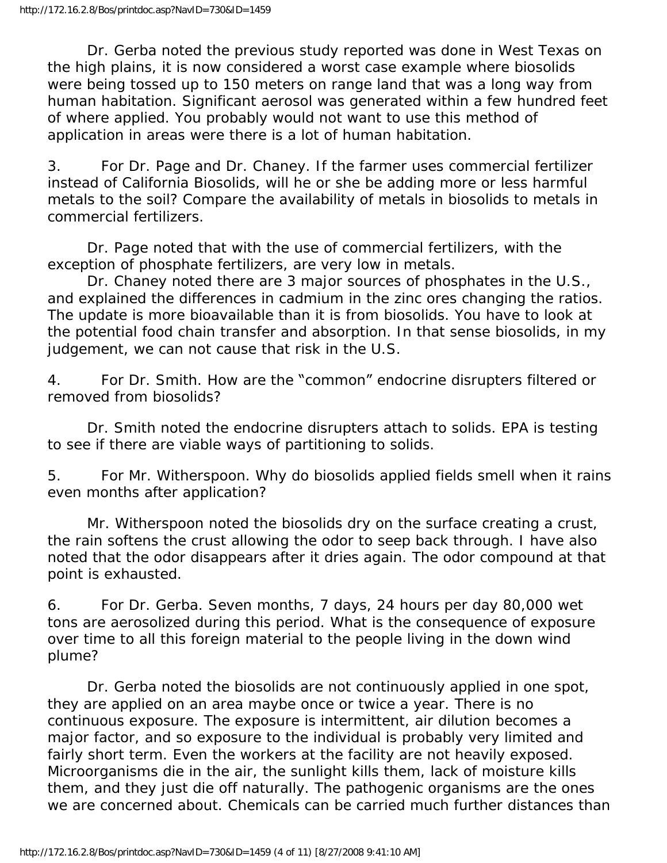Dr. Gerba noted the previous study reported was done in West Texas on the high plains, it is now considered a worst case example where biosolids were being tossed up to 150 meters on range land that was a long way from human habitation. Significant aerosol was generated within a few hundred feet of where applied. You probably would not want to use this method of application in areas were there is a lot of human habitation.

3. For Dr. Page and Dr. Chaney. If the farmer uses commercial fertilizer instead of California Biosolids, will he or she be adding more or less harmful metals to the soil? Compare the availability of metals in biosolids to metals in commercial fertilizers.

 Dr. Page noted that with the use of commercial fertilizers, with the exception of phosphate fertilizers, are very low in metals.

 Dr. Chaney noted there are 3 major sources of phosphates in the U.S., and explained the differences in cadmium in the zinc ores changing the ratios. The update is more bioavailable than it is from biosolids. You have to look at the potential food chain transfer and absorption. In that sense biosolids, in my judgement, we can not cause that risk in the U.S.

4. For Dr. Smith. How are the "common" endocrine disrupters filtered or removed from biosolids?

 Dr. Smith noted the endocrine disrupters attach to solids. EPA is testing to see if there are viable ways of partitioning to solids.

5. For Mr. Witherspoon. Why do biosolids applied fields smell when it rains even months after application?

 Mr. Witherspoon noted the biosolids dry on the surface creating a crust, the rain softens the crust allowing the odor to seep back through. I have also noted that the odor disappears after it dries again. The odor compound at that point is exhausted.

6. For Dr. Gerba. Seven months, 7 days, 24 hours per day 80,000 wet tons are aerosolized during this period. What is the consequence of exposure over time to all this foreign material to the people living in the down wind plume?

 Dr. Gerba noted the biosolids are not continuously applied in one spot, they are applied on an area maybe once or twice a year. There is no continuous exposure. The exposure is intermittent, air dilution becomes a major factor, and so exposure to the individual is probably very limited and fairly short term. Even the workers at the facility are not heavily exposed. Microorganisms die in the air, the sunlight kills them, lack of moisture kills them, and they just die off naturally. The pathogenic organisms are the ones we are concerned about. Chemicals can be carried much further distances than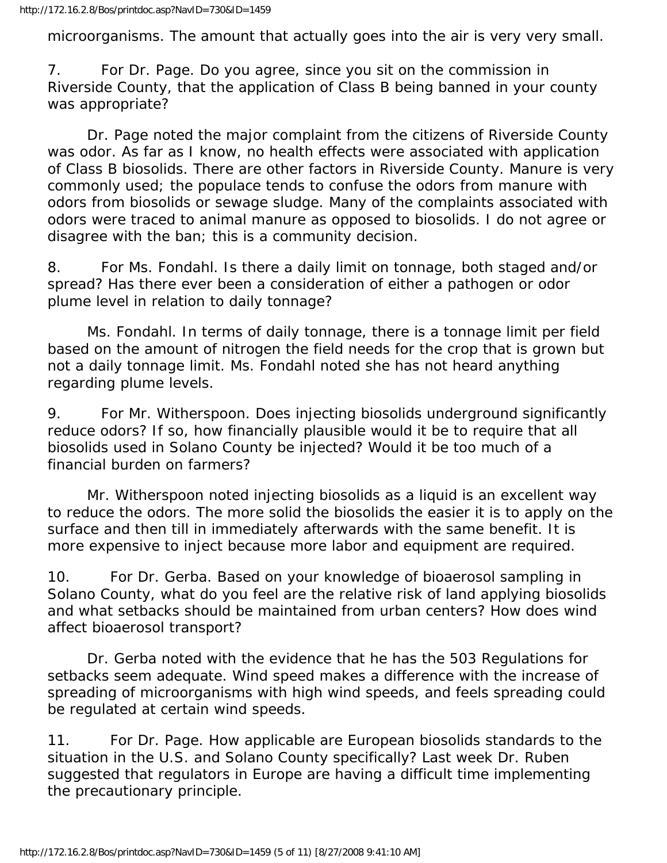microorganisms. The amount that actually goes into the air is very very small.

7. For Dr. Page. Do you agree, since you sit on the commission in Riverside County, that the application of Class B being banned in your county was appropriate?

 Dr. Page noted the major complaint from the citizens of Riverside County was odor. As far as I know, no health effects were associated with application of Class B biosolids. There are other factors in Riverside County. Manure is very commonly used; the populace tends to confuse the odors from manure with odors from biosolids or sewage sludge. Many of the complaints associated with odors were traced to animal manure as opposed to biosolids. I do not agree or disagree with the ban; this is a community decision.

8. For Ms. Fondahl. Is there a daily limit on tonnage, both staged and/or spread? Has there ever been a consideration of either a pathogen or odor plume level in relation to daily tonnage?

 Ms. Fondahl. In terms of daily tonnage, there is a tonnage limit per field based on the amount of nitrogen the field needs for the crop that is grown but not a daily tonnage limit. Ms. Fondahl noted she has not heard anything regarding plume levels.

9. For Mr. Witherspoon. Does injecting biosolids underground significantly reduce odors? If so, how financially plausible would it be to require that all biosolids used in Solano County be injected? Would it be too much of a financial burden on farmers?

 Mr. Witherspoon noted injecting biosolids as a liquid is an excellent way to reduce the odors. The more solid the biosolids the easier it is to apply on the surface and then till in immediately afterwards with the same benefit. It is more expensive to inject because more labor and equipment are required.

10. For Dr. Gerba. Based on your knowledge of bioaerosol sampling in Solano County, what do you feel are the relative risk of land applying biosolids and what setbacks should be maintained from urban centers? How does wind affect bioaerosol transport?

 Dr. Gerba noted with the evidence that he has the 503 Regulations for setbacks seem adequate. Wind speed makes a difference with the increase of spreading of microorganisms with high wind speeds, and feels spreading could be regulated at certain wind speeds.

11. For Dr. Page. How applicable are European biosolids standards to the situation in the U.S. and Solano County specifically? Last week Dr. Ruben suggested that regulators in Europe are having a difficult time implementing the precautionary principle.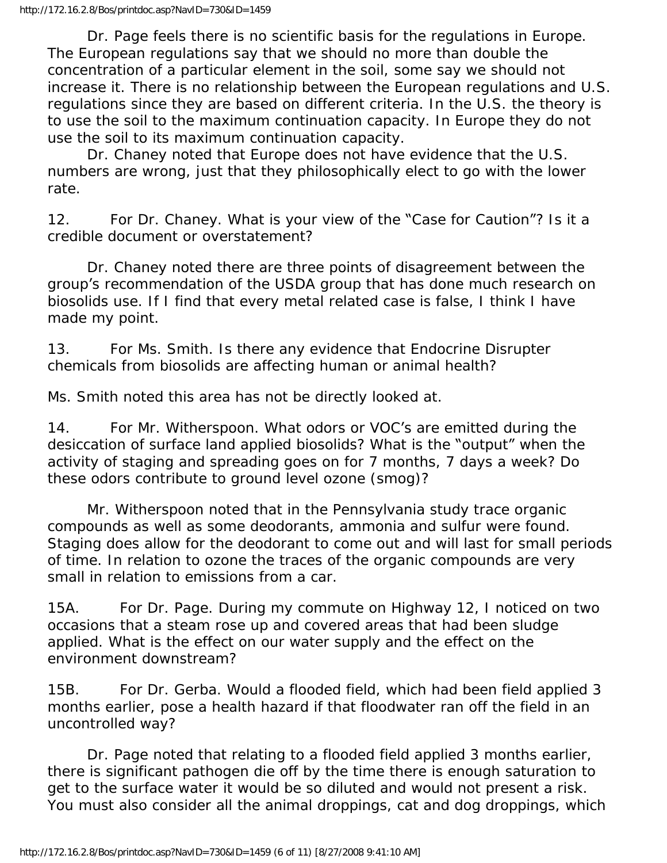Dr. Page feels there is no scientific basis for the regulations in Europe. The European regulations say that we should no more than double the concentration of a particular element in the soil, some say we should not increase it. There is no relationship between the European regulations and U.S. regulations since they are based on different criteria. In the U.S. the theory is to use the soil to the maximum continuation capacity. In Europe they do not use the soil to its maximum continuation capacity.

 Dr. Chaney noted that Europe does not have evidence that the U.S. numbers are wrong, just that they philosophically elect to go with the lower rate.

12. For Dr. Chaney. What is your view of the "Case for Caution"? Is it a credible document or overstatement?

 Dr. Chaney noted there are three points of disagreement between the group's recommendation of the USDA group that has done much research on biosolids use. If I find that every metal related case is false, I think I have made my point.

13. For Ms. Smith. Is there any evidence that Endocrine Disrupter chemicals from biosolids are affecting human or animal health?

Ms. Smith noted this area has not be directly looked at.

14. For Mr. Witherspoon. What odors or VOC's are emitted during the desiccation of surface land applied biosolids? What is the "output" when the activity of staging and spreading goes on for 7 months, 7 days a week? Do these odors contribute to ground level ozone (smog)?

 Mr. Witherspoon noted that in the Pennsylvania study trace organic compounds as well as some deodorants, ammonia and sulfur were found. Staging does allow for the deodorant to come out and will last for small periods of time. In relation to ozone the traces of the organic compounds are very small in relation to emissions from a car.

15A. For Dr. Page. During my commute on Highway 12, I noticed on two occasions that a steam rose up and covered areas that had been sludge applied. What is the effect on our water supply and the effect on the environment downstream?

15B. For Dr. Gerba. Would a flooded field, which had been field applied 3 months earlier, pose a health hazard if that floodwater ran off the field in an uncontrolled way?

 Dr. Page noted that relating to a flooded field applied 3 months earlier, there is significant pathogen die off by the time there is enough saturation to get to the surface water it would be so diluted and would not present a risk. You must also consider all the animal droppings, cat and dog droppings, which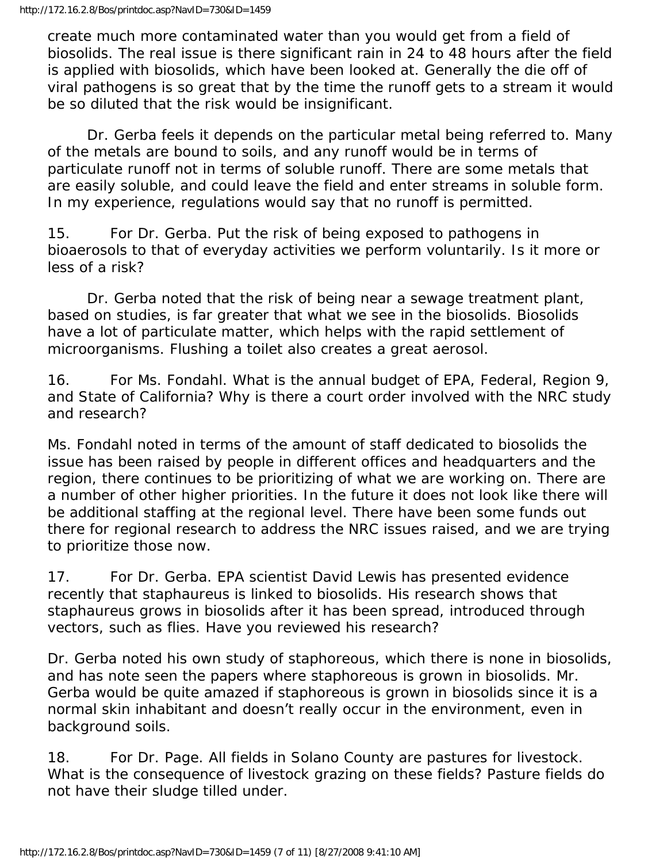create much more contaminated water than you would get from a field of biosolids. The real issue is there significant rain in 24 to 48 hours after the field is applied with biosolids, which have been looked at. Generally the die off of viral pathogens is so great that by the time the runoff gets to a stream it would be so diluted that the risk would be insignificant.

 Dr. Gerba feels it depends on the particular metal being referred to. Many of the metals are bound to soils, and any runoff would be in terms of particulate runoff not in terms of soluble runoff. There are some metals that are easily soluble, and could leave the field and enter streams in soluble form. In my experience, regulations would say that no runoff is permitted.

15. For Dr. Gerba. Put the risk of being exposed to pathogens in bioaerosols to that of everyday activities we perform voluntarily. Is it more or less of a risk?

 Dr. Gerba noted that the risk of being near a sewage treatment plant, based on studies, is far greater that what we see in the biosolids. Biosolids have a lot of particulate matter, which helps with the rapid settlement of microorganisms. Flushing a toilet also creates a great aerosol.

16. For Ms. Fondahl. What is the annual budget of EPA, Federal, Region 9, and State of California? Why is there a court order involved with the NRC study and research?

Ms. Fondahl noted in terms of the amount of staff dedicated to biosolids the issue has been raised by people in different offices and headquarters and the region, there continues to be prioritizing of what we are working on. There are a number of other higher priorities. In the future it does not look like there will be additional staffing at the regional level. There have been some funds out there for regional research to address the NRC issues raised, and we are trying to prioritize those now.

17. For Dr. Gerba. EPA scientist David Lewis has presented evidence recently that staphaureus is linked to biosolids. His research shows that staphaureus grows in biosolids after it has been spread, introduced through vectors, such as flies. Have you reviewed his research?

Dr. Gerba noted his own study of staphoreous, which there is none in biosolids, and has note seen the papers where staphoreous is grown in biosolids. Mr. Gerba would be quite amazed if staphoreous is grown in biosolids since it is a normal skin inhabitant and doesn't really occur in the environment, even in background soils.

18. For Dr. Page. All fields in Solano County are pastures for livestock. What is the consequence of livestock grazing on these fields? Pasture fields do not have their sludge tilled under.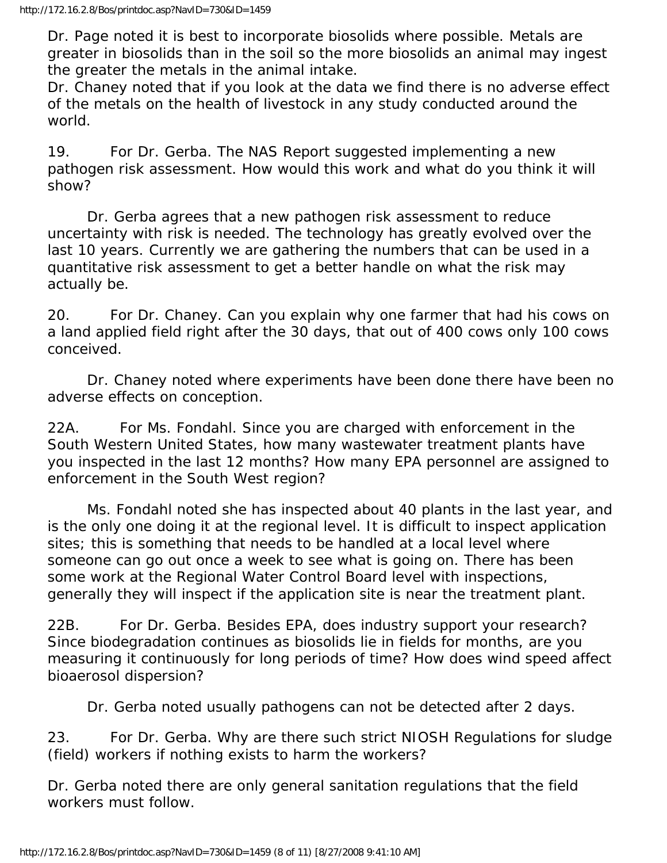Dr. Page noted it is best to incorporate biosolids where possible. Metals are greater in biosolids than in the soil so the more biosolids an animal may ingest the greater the metals in the animal intake.

Dr. Chaney noted that if you look at the data we find there is no adverse effect of the metals on the health of livestock in any study conducted around the world.

19. For Dr. Gerba. The NAS Report suggested implementing a new pathogen risk assessment. How would this work and what do you think it will show?

 Dr. Gerba agrees that a new pathogen risk assessment to reduce uncertainty with risk is needed. The technology has greatly evolved over the last 10 years. Currently we are gathering the numbers that can be used in a quantitative risk assessment to get a better handle on what the risk may actually be.

20. For Dr. Chaney. Can you explain why one farmer that had his cows on a land applied field right after the 30 days, that out of 400 cows only 100 cows conceived.

 Dr. Chaney noted where experiments have been done there have been no adverse effects on conception.

22A. For Ms. Fondahl. Since you are charged with enforcement in the South Western United States, how many wastewater treatment plants have you inspected in the last 12 months? How many EPA personnel are assigned to enforcement in the South West region?

 Ms. Fondahl noted she has inspected about 40 plants in the last year, and is the only one doing it at the regional level. It is difficult to inspect application sites; this is something that needs to be handled at a local level where someone can go out once a week to see what is going on. There has been some work at the Regional Water Control Board level with inspections, generally they will inspect if the application site is near the treatment plant.

22B. For Dr. Gerba. Besides EPA, does industry support your research? Since biodegradation continues as biosolids lie in fields for months, are you measuring it continuously for long periods of time? How does wind speed affect bioaerosol dispersion?

Dr. Gerba noted usually pathogens can not be detected after 2 days.

23. For Dr. Gerba. Why are there such strict NIOSH Regulations for sludge (field) workers if nothing exists to harm the workers?

Dr. Gerba noted there are only general sanitation regulations that the field workers must follow.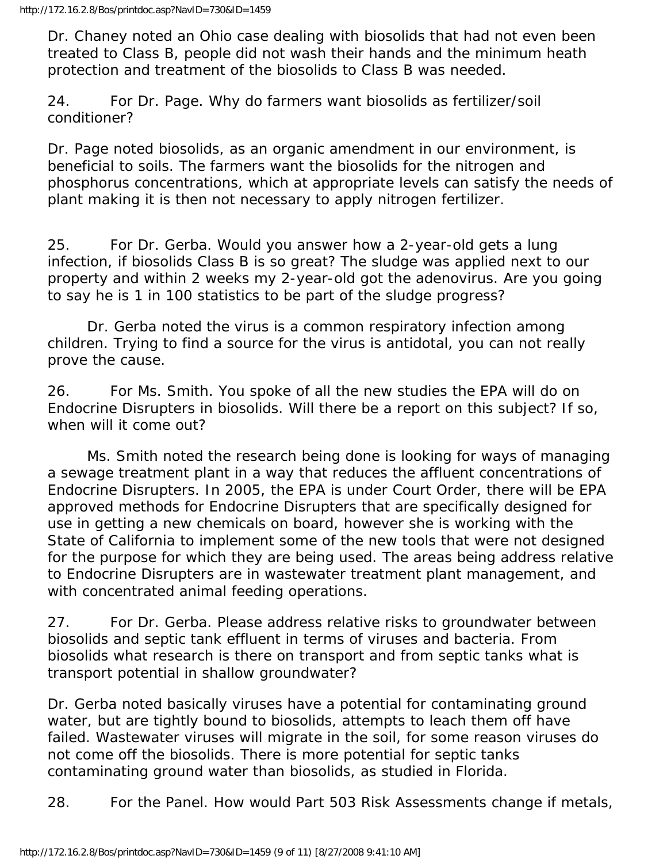Dr. Chaney noted an Ohio case dealing with biosolids that had not even been treated to Class B, people did not wash their hands and the minimum heath protection and treatment of the biosolids to Class B was needed.

24. For Dr. Page. Why do farmers want biosolids as fertilizer/soil conditioner?

Dr. Page noted biosolids, as an organic amendment in our environment, is beneficial to soils. The farmers want the biosolids for the nitrogen and phosphorus concentrations, which at appropriate levels can satisfy the needs of plant making it is then not necessary to apply nitrogen fertilizer.

25. For Dr. Gerba. Would you answer how a 2-year-old gets a lung infection, if biosolids Class B is so great? The sludge was applied next to our property and within 2 weeks my 2-year-old got the adenovirus. Are you going to say he is 1 in 100 statistics to be part of the sludge progress?

 Dr. Gerba noted the virus is a common respiratory infection among children. Trying to find a source for the virus is antidotal, you can not really prove the cause.

26. For Ms. Smith. You spoke of all the new studies the EPA will do on Endocrine Disrupters in biosolids. Will there be a report on this subject? If so, when will it come out?

 Ms. Smith noted the research being done is looking for ways of managing a sewage treatment plant in a way that reduces the affluent concentrations of Endocrine Disrupters. In 2005, the EPA is under Court Order, there will be EPA approved methods for Endocrine Disrupters that are specifically designed for use in getting a new chemicals on board, however she is working with the State of California to implement some of the new tools that were not designed for the purpose for which they are being used. The areas being address relative to Endocrine Disrupters are in wastewater treatment plant management, and with concentrated animal feeding operations.

27. For Dr. Gerba. Please address relative risks to groundwater between biosolids and septic tank effluent in terms of viruses and bacteria. From biosolids what research is there on transport and from septic tanks what is transport potential in shallow groundwater?

Dr. Gerba noted basically viruses have a potential for contaminating ground water, but are tightly bound to biosolids, attempts to leach them off have failed. Wastewater viruses will migrate in the soil, for some reason viruses do not come off the biosolids. There is more potential for septic tanks contaminating ground water than biosolids, as studied in Florida.

28. For the Panel. How would Part 503 Risk Assessments change if metals,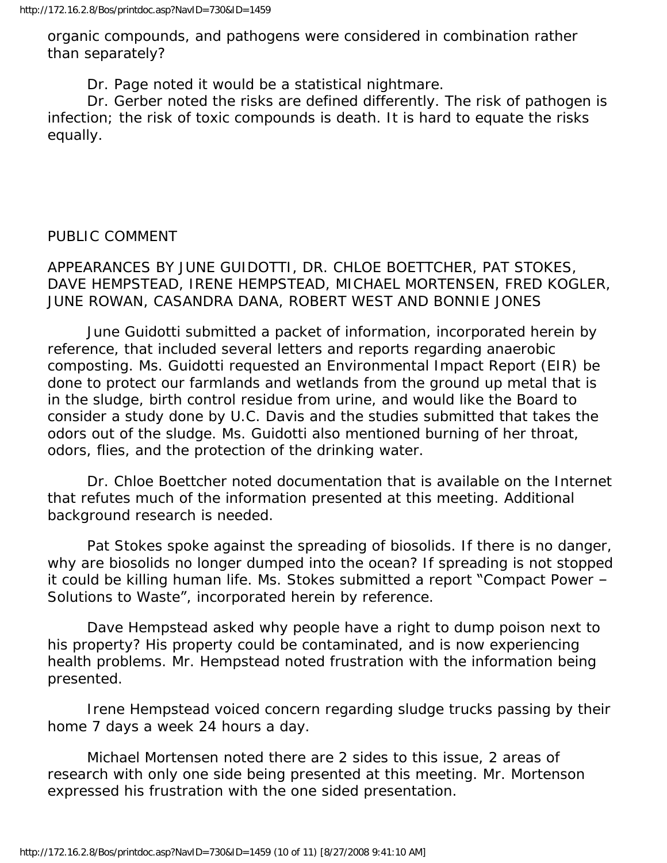organic compounds, and pathogens were considered in combination rather than separately?

Dr. Page noted it would be a statistical nightmare.

 Dr. Gerber noted the risks are defined differently. The risk of pathogen is infection; the risk of toxic compounds is death. It is hard to equate the risks equally.

#### PUBLIC COMMENT

APPEARANCES BY JUNE GUIDOTTI, DR. CHLOE BOETTCHER, PAT STOKES, DAVE HEMPSTEAD, IRENE HEMPSTEAD, MICHAEL MORTENSEN, FRED KOGLER, JUNE ROWAN, CASANDRA DANA, ROBERT WEST AND BONNIE JONES

 June Guidotti submitted a packet of information, incorporated herein by reference, that included several letters and reports regarding anaerobic composting. Ms. Guidotti requested an Environmental Impact Report (EIR) be done to protect our farmlands and wetlands from the ground up metal that is in the sludge, birth control residue from urine, and would like the Board to consider a study done by U.C. Davis and the studies submitted that takes the odors out of the sludge. Ms. Guidotti also mentioned burning of her throat, odors, flies, and the protection of the drinking water.

 Dr. Chloe Boettcher noted documentation that is available on the Internet that refutes much of the information presented at this meeting. Additional background research is needed.

 Pat Stokes spoke against the spreading of biosolids. If there is no danger, why are biosolids no longer dumped into the ocean? If spreading is not stopped it could be killing human life. Ms. Stokes submitted a report "Compact Power – Solutions to Waste", incorporated herein by reference.

 Dave Hempstead asked why people have a right to dump poison next to his property? His property could be contaminated, and is now experiencing health problems. Mr. Hempstead noted frustration with the information being presented.

 Irene Hempstead voiced concern regarding sludge trucks passing by their home 7 days a week 24 hours a day.

 Michael Mortensen noted there are 2 sides to this issue, 2 areas of research with only one side being presented at this meeting. Mr. Mortenson expressed his frustration with the one sided presentation.